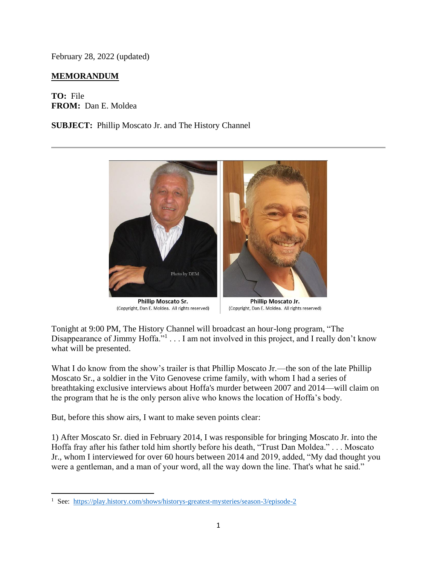February 28, 2022 (updated)

## **MEMORANDUM**

**TO:** File **FROM:** Dan E. Moldea

**SUBJECT:** Phillip Moscato Jr. and The History Channel



**Phillip Moscato Sr.** (Copyright, Dan E. Moldea. All rights reserved)

Phillip Moscato Jr. (Copyright, Dan E. Moldea. All rights reserved)

Tonight at 9:00 PM, The History Channel will broadcast an hour-long program, "The Disappearance of Jimmy Hoffa."<sup>1</sup>... I am not involved in this project, and I really don't know what will be presented.

What I do know from the show's trailer is that Phillip Moscato Jr.—the son of the late Phillip Moscato Sr., a soldier in the Vito Genovese crime family, with whom I had a series of breathtaking exclusive interviews about Hoffa's murder between 2007 and 2014—will claim on the program that he is the only person alive who knows the location of Hoffa's body.

But, before this show airs, I want to make seven points clear:

1) After Moscato Sr. died in February 2014, I was responsible for bringing Moscato Jr. into the Hoffa fray after his father told him shortly before his death, "Trust Dan Moldea." . . . Moscato Jr., whom I interviewed for over 60 hours between 2014 and 2019, added, "My dad thought you were a gentleman, and a man of your word, all the way down the line. That's what he said."

<sup>&</sup>lt;sup>1</sup> See:<https://play.history.com/shows/historys-greatest-mysteries/season-3/episode-2>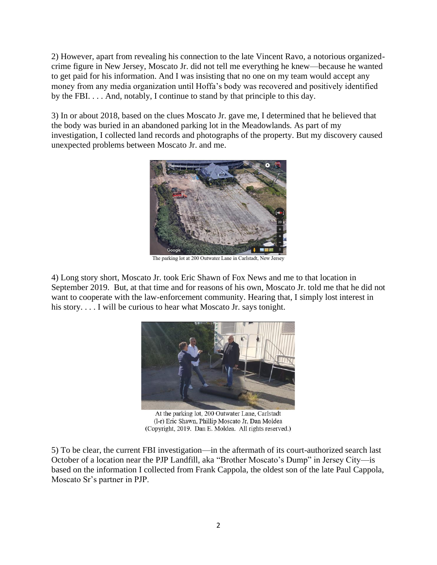2) However, apart from revealing his connection to the late Vincent Ravo, a notorious organizedcrime figure in New Jersey, Moscato Jr. did not tell me everything he knew—because he wanted to get paid for his information. And I was insisting that no one on my team would accept any money from any media organization until Hoffa's body was recovered and positively identified by the FBI. . . . And, notably, I continue to stand by that principle to this day.

3) In or about 2018, based on the clues Moscato Jr. gave me, I determined that he believed that the body was buried in an abandoned parking lot in the Meadowlands. As part of my investigation, I collected land records and photographs of the property. But my discovery caused unexpected problems between Moscato Jr. and me.



The parking lot at 200 Outwater Lane in Carlstadt, New Jersey

4) Long story short, Moscato Jr. took Eric Shawn of Fox News and me to that location in September 2019. But, at that time and for reasons of his own, Moscato Jr. told me that he did not want to cooperate with the law-enforcement community. Hearing that, I simply lost interest in his story.... I will be curious to hear what Moscato Jr. says tonight.



At the parking lot, 200 Outwater Lane, Carlstadt (l-r) Eric Shawn, Phillip Moscato Jr, Dan Moldea (Copyright, 2019. Dan E. Moldea. All rights reserved.)

5) To be clear, the current FBI investigation—in the aftermath of its court-authorized search last October of a location near the PJP Landfill, aka "Brother Moscato's Dump" in Jersey City—is based on the information I collected from Frank Cappola, the oldest son of the late Paul Cappola, Moscato Sr's partner in PJP.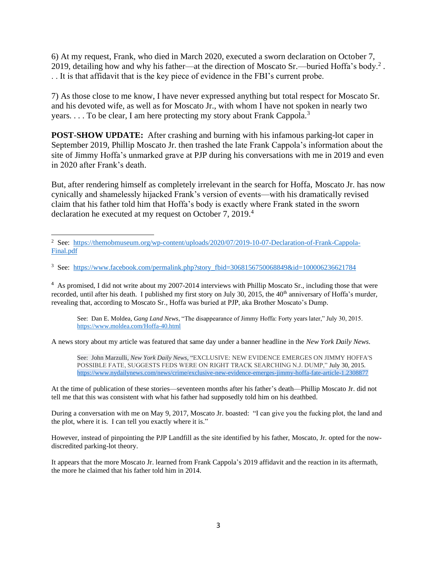6) At my request, Frank, who died in March 2020, executed a sworn declaration on October 7, 2019, detailing how and why his father—at the direction of Moscato Sr.—buried Hoffa's body.<sup>2</sup>. . . It is that affidavit that is the key piece of evidence in the FBI's current probe.

7) As those close to me know, I have never expressed anything but total respect for Moscato Sr. and his devoted wife, as well as for Moscato Jr., with whom I have not spoken in nearly two years. . . . To be clear, I am here protecting my story about Frank Cappola.<sup>3</sup>

**POST-SHOW UPDATE:** After crashing and burning with his infamous parking-lot caper in September 2019, Phillip Moscato Jr. then trashed the late Frank Cappola's information about the site of Jimmy Hoffa's unmarked grave at PJP during his conversations with me in 2019 and even in 2020 after Frank's death.

But, after rendering himself as completely irrelevant in the search for Hoffa, Moscato Jr. has now cynically and shamelessly hijacked Frank's version of events—with his dramatically revised claim that his father told him that Hoffa's body is exactly where Frank stated in the sworn declaration he executed at my request on October 7, 2019.<sup>4</sup>

<sup>4</sup> As promised, I did not write about my 2007-2014 interviews with Phillip Moscato Sr., including those that were recorded, until after his death. I published my first story on July 30, 2015, the 40<sup>th</sup> anniversary of Hoffa's murder, revealing that, according to Moscato Sr., Hoffa was buried at PJP, aka Brother Moscato's Dump.

See: Dan E. Moldea, *Gang Land News*, "The disappearance of Jimmy Hoffa: Forty years later," July 30, 2015. <https://www.moldea.com/Hoffa-40.html>

A news story about my article was featured that same day under a banner headline in the *New York Daily News*.

See: John Marzulli, *New York Daily News*, "EXCLUSIVE: NEW EVIDENCE EMERGES ON JIMMY HOFFA'S POSSIBLE FATE, SUGGESTS FEDS WERE ON RIGHT TRACK SEARCHING N.J. DUMP," July 30, 2015. <https://www.nydailynews.com/news/crime/exclusive-new-evidence-emerges-jimmy-hoffa-fate-article-1.2308877>

At the time of publication of these stories—seventeen months after his father's death—Phillip Moscato Jr. did not tell me that this was consistent with what his father had supposedly told him on his deathbed.

During a conversation with me on May 9, 2017, Moscato Jr. boasted: "I can give you the fucking plot, the land and the plot, where it is. I can tell you exactly where it is."

However, instead of pinpointing the PJP Landfill as the site identified by his father, Moscato, Jr. opted for the nowdiscredited parking-lot theory.

It appears that the more Moscato Jr. learned from Frank Cappola's 2019 affidavit and the reaction in its aftermath, the more he claimed that his father told him in 2014.

<sup>&</sup>lt;sup>2</sup> See: [https://themobmuseum.org/wp-content/uploads/2020/07/2019-10-07-Declaration-of-Frank-Cappola-](https://themobmuseum.org/wp-content/uploads/2020/07/2019-10-07-Declaration-of-Frank-Cappola-Final.pdf)[Final.pdf](https://themobmuseum.org/wp-content/uploads/2020/07/2019-10-07-Declaration-of-Frank-Cappola-Final.pdf)

<sup>&</sup>lt;sup>3</sup> See: [https://www.facebook.com/permalink.php?story\\_fbid=3068156750068849&id=100006236621784](https://www.facebook.com/permalink.php?story_fbid=3068156750068849&id=100006236621784)